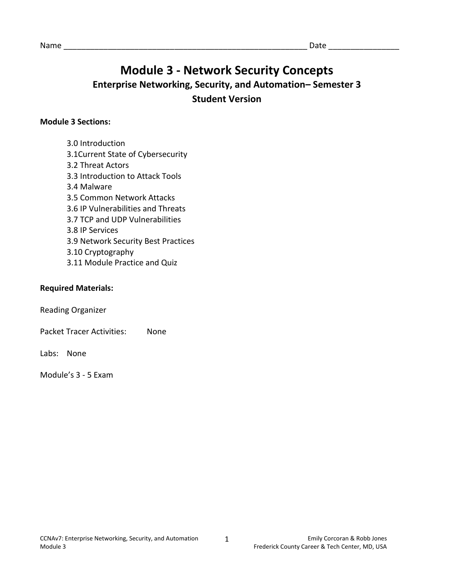# **Module 3 - Network Security Concepts Enterprise Networking, Security, and Automation– Semester 3**

**Student Version**

## **Module 3 Sections:**

3.0 Introduction 3.1Current State of Cybersecurity 3.2 Threat Actors 3.3 Introduction to Attack Tools 3.4 Malware 3.5 Common Network Attacks 3.6 IP Vulnerabilities and Threats 3.7 TCP and UDP Vulnerabilities 3.8 IP Services 3.9 Network Security Best Practices 3.10 Cryptography

3.11 Module Practice and Quiz

#### **Required Materials:**

Reading Organizer

Packet Tracer Activities: None

Labs: None

Module's 3 - 5 Exam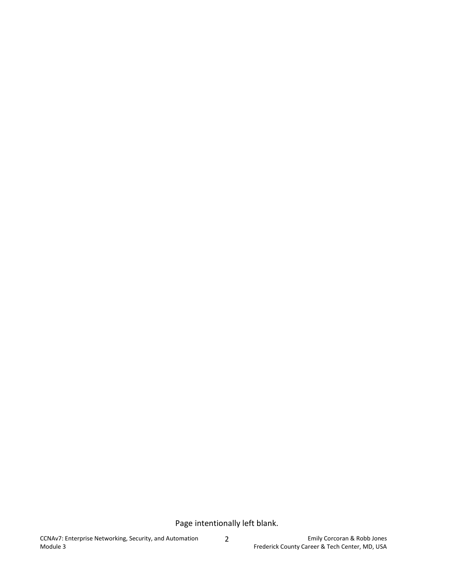Page intentionally left blank.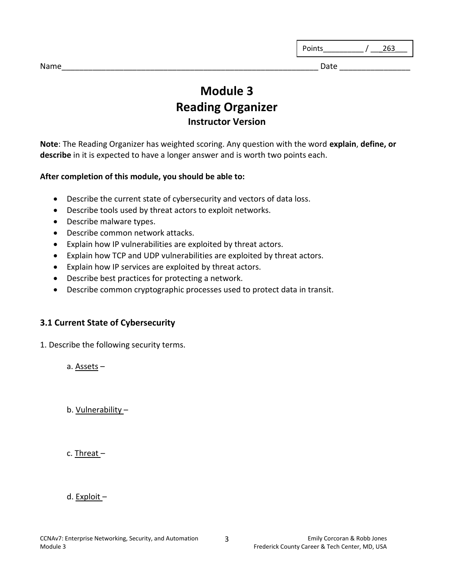Name\_\_\_\_\_\_\_\_\_\_\_\_\_\_\_\_\_\_\_\_\_\_\_\_\_\_\_\_\_\_\_\_\_\_\_\_\_\_\_\_\_\_\_\_\_\_\_\_\_\_\_\_\_\_\_\_\_\_ Date \_\_\_\_\_\_\_\_\_\_\_\_\_\_\_\_

# **Module 3 Reading Organizer Instructor Version**

**Note**: The Reading Organizer has weighted scoring. Any question with the word **explain**, **define, or describe** in it is expected to have a longer answer and is worth two points each.

#### **After completion of this module, you should be able to:**

- Describe the current state of cybersecurity and vectors of data loss.
- Describe tools used by threat actors to exploit networks.
- Describe malware types.
- Describe common network attacks.
- Explain how IP vulnerabilities are exploited by threat actors.
- Explain how TCP and UDP vulnerabilities are exploited by threat actors.
- Explain how IP services are exploited by threat actors.
- Describe best practices for protecting a network.
- Describe common cryptographic processes used to protect data in transit.

# **3.1 Current State of Cybersecurity**

1. Describe the following security terms.

a. Assets –

b. Vulnerability –

c. Threat –

d. Exploit –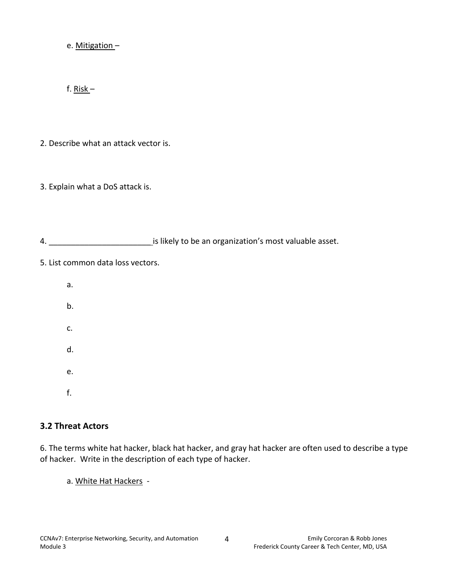e. Mitigation –

f. Risk –

2. Describe what an attack vector is.

3. Explain what a DoS attack is.

4. \_\_\_\_\_\_\_\_\_\_\_\_\_\_\_\_\_\_\_\_\_\_\_ is likely to be an organization's most valuable asset.

5. List common data loss vectors.

a. b. c. d. e. f.

# **3.2 Threat Actors**

6. The terms white hat hacker, black hat hacker, and gray hat hacker are often used to describe a type of hacker. Write in the description of each type of hacker.

a. White Hat Hackers -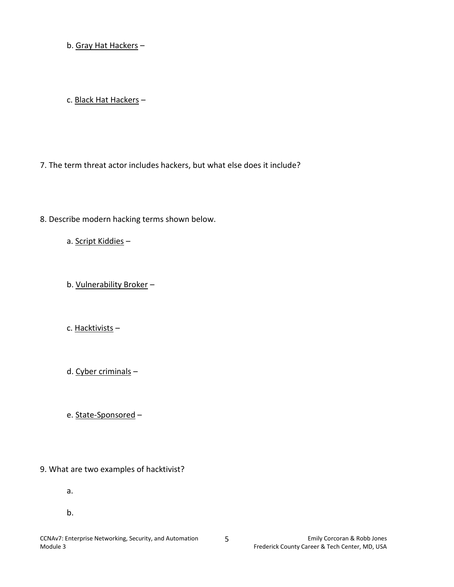b. Gray Hat Hackers –

c. Black Hat Hackers –

7. The term threat actor includes hackers, but what else does it include?

8. Describe modern hacking terms shown below.

a. Script Kiddies –

b. Vulnerability Broker –

c. Hacktivists –

d. Cyber criminals –

e. State-Sponsored –

- 9. What are two examples of hacktivist?
	- a.
	- b.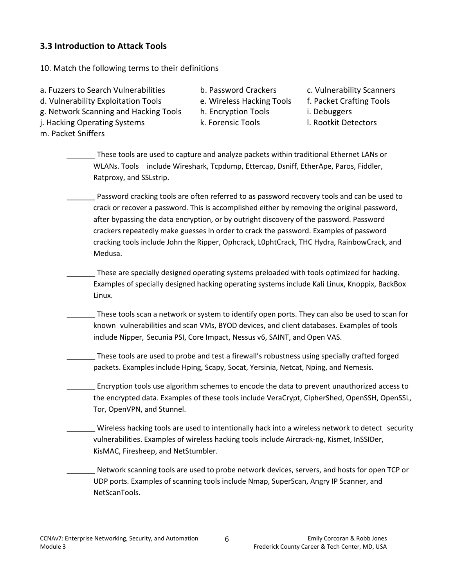## **3.3 Introduction to Attack Tools**

10. Match the following terms to their definitions

- a. Fuzzers to Search Vulnerabilities b. Password Crackers c. Vulnerability Scanners
- d. Vulnerability Exploitation Tools e. Wireless Hacking Tools f. Packet Crafting Tools
- g. Network Scanning and Hacking Tools h. Encryption Tools i. Debuggers
- j. Hacking Operating Systems **k. Forensic Tools** l. Rootkit Detectors

m. Packet Sniffers

- 
- 
- 
- 
- 
- 
- 
- 
- \_\_\_\_\_\_\_ These tools are used to capture and analyze packets within traditional Ethernet LANs or WLANs. Tools include Wireshark, Tcpdump, Ettercap, Dsniff, EtherApe, Paros, Fiddler, Ratproxy, and SSLstrip.

\_\_\_\_\_\_\_ Password cracking tools are often referred to as password recovery tools and can be used to crack or recover a password. This is accomplished either by removing the original password, after bypassing the data encryption, or by outright discovery of the password. Password crackers repeatedly make guesses in order to crack the password. Examples of password cracking tools include John the Ripper, Ophcrack, L0phtCrack, THC Hydra, RainbowCrack, and Medusa.

\_\_\_\_\_\_\_ These are specially designed operating systems preloaded with tools optimized for hacking. Examples of specially designed hacking operating systems include Kali Linux, Knoppix, BackBox Linux.

\_\_\_\_\_\_\_ These tools scan a network or system to identify open ports. They can also be used to scan for known vulnerabilities and scan VMs, BYOD devices, and client databases. Examples of tools include Nipper, Secunia PSI, Core Impact, Nessus v6, SAINT, and Open VAS.

\_\_\_\_\_\_\_ These tools are used to probe and test a firewall's robustness using specially crafted forged packets. Examples include Hping, Scapy, Socat, Yersinia, Netcat, Nping, and Nemesis.

Encryption tools use algorithm schemes to encode the data to prevent unauthorized access to the encrypted data. Examples of these tools include VeraCrypt, CipherShed, OpenSSH, OpenSSL, Tor, OpenVPN, and Stunnel.

\_\_\_\_\_\_\_ Wireless hacking tools are used to intentionally hack into a wireless network to detect security vulnerabilities. Examples of wireless hacking tools include Aircrack-ng, Kismet, InSSIDer, KisMAC, Firesheep, and NetStumbler.

\_\_\_\_\_\_\_ Network scanning tools are used to probe network devices, servers, and hosts for open TCP or UDP ports. Examples of scanning tools include Nmap, SuperScan, Angry IP Scanner, and NetScanTools.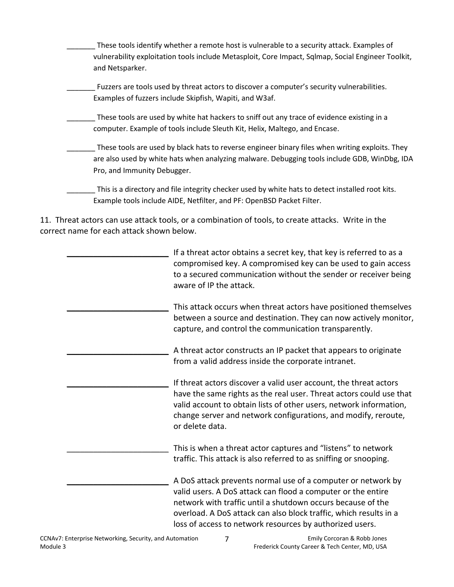| These tools identify whether a remote host is vulnerable to a security attack. Examples of<br>vulnerability exploitation tools include Metasploit, Core Impact, Sqlmap, Social Engineer Toolkit,<br>and Netsparker.            |
|--------------------------------------------------------------------------------------------------------------------------------------------------------------------------------------------------------------------------------|
| Fuzzers are tools used by threat actors to discover a computer's security vulnerabilities.<br>Examples of fuzzers include Skipfish, Wapiti, and W3af.                                                                          |
| These tools are used by white hat hackers to sniff out any trace of evidence existing in a<br>computer. Example of tools include Sleuth Kit, Helix, Maltego, and Encase.                                                       |
| These tools are used by black hats to reverse engineer binary files when writing exploits. They<br>are also used by white hats when analyzing malware. Debugging tools include GDB, WinDbg, IDA<br>Pro, and Immunity Debugger. |
| This is a directory and file integrity checker used by white hats to detect installed root kits.<br>Example tools include AIDE, Netfilter, and PF: OpenBSD Packet Filter.                                                      |

11. Threat actors can use attack tools, or a combination of tools, to create attacks. Write in the correct name for each attack shown below.

| If a threat actor obtains a secret key, that key is referred to as a<br>compromised key. A compromised key can be used to gain access<br>to a secured communication without the sender or receiver being<br>aware of IP the attack.                                                                                          |
|------------------------------------------------------------------------------------------------------------------------------------------------------------------------------------------------------------------------------------------------------------------------------------------------------------------------------|
| This attack occurs when threat actors have positioned themselves<br>between a source and destination. They can now actively monitor,<br>capture, and control the communication transparently.                                                                                                                                |
| A threat actor constructs an IP packet that appears to originate<br>from a valid address inside the corporate intranet.                                                                                                                                                                                                      |
| If threat actors discover a valid user account, the threat actors<br>have the same rights as the real user. Threat actors could use that<br>valid account to obtain lists of other users, network information,<br>change server and network configurations, and modify, reroute,<br>or delete data.                          |
| This is when a threat actor captures and "listens" to network<br>traffic. This attack is also referred to as sniffing or snooping.                                                                                                                                                                                           |
| A DoS attack prevents normal use of a computer or network by<br>valid users. A DoS attack can flood a computer or the entire<br>network with traffic until a shutdown occurs because of the<br>overload. A DoS attack can also block traffic, which results in a<br>loss of access to network resources by authorized users. |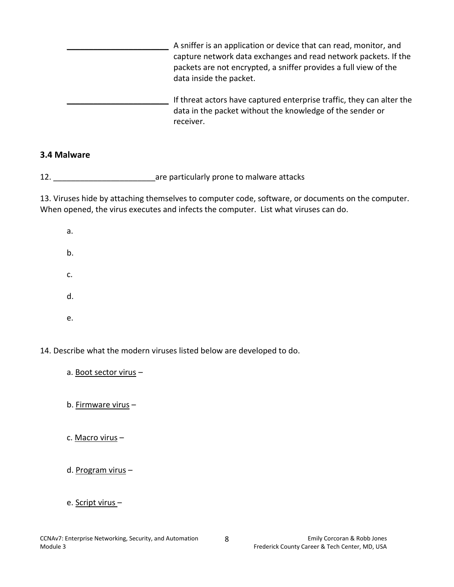| A sniffer is an application or device that can read, monitor, and<br>capture network data exchanges and read network packets. If the<br>packets are not encrypted, a sniffer provides a full view of the<br>data inside the packet. |
|-------------------------------------------------------------------------------------------------------------------------------------------------------------------------------------------------------------------------------------|
| If threat actors have captured enterprise traffic, they can alter the<br>data in the packet without the knowledge of the sender or<br>receiver.                                                                                     |

#### **3.4 Malware**

12. **12. 12. 12. 12. 12. 12. 12. 12. 12. 12. 12. 12. 12. 12. 12. 12. 12. 12. 12. 12. 12. 12. 12. 12. 12. 12. 12. 12. 12. 12. 12. 12. 12. 12. 12. 12. 1** 

13. Viruses hide by attaching themselves to computer code, software, or documents on the computer. When opened, the virus executes and infects the computer. List what viruses can do.

- a. b. c. d.
- e.

14. Describe what the modern viruses listed below are developed to do.

- a. Boot sector virus –
- b. Firmware virus –
- c. Macro virus –
- d. Program virus –
- e. Script virus –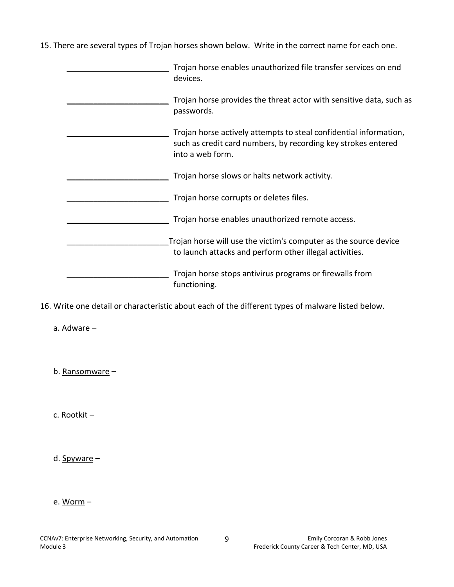Trojan horse enables unauthorized file transfer services on end devices. Trojan horse provides the threat actor with sensitive data, such as passwords. Trojan horse actively attempts to steal confidential information, such as credit card numbers, by recording key strokes entered into a web form. Trojan horse slows or halts network activity. \_\_\_\_\_\_\_\_\_\_\_\_\_\_\_\_\_\_\_\_\_\_\_ Trojan horse corrupts or deletes files. \_\_\_\_\_\_\_\_\_\_\_\_\_\_\_\_\_\_\_\_\_\_\_ Trojan horse enables unauthorized remote access. \_\_\_\_\_\_\_\_\_\_\_\_\_\_\_\_\_\_\_\_\_\_\_Trojan horse will use the victim's computer as the source device to launch attacks and perform other illegal activities. Trojan horse stops antivirus programs or firewalls from functioning.

15. There are several types of Trojan horses shown below. Write in the correct name for each one.

16. Write one detail or characteristic about each of the different types of malware listed below.

a. Adware –

b. Ransomware –

c. Rootkit –

d. Spyware –

e. Worm –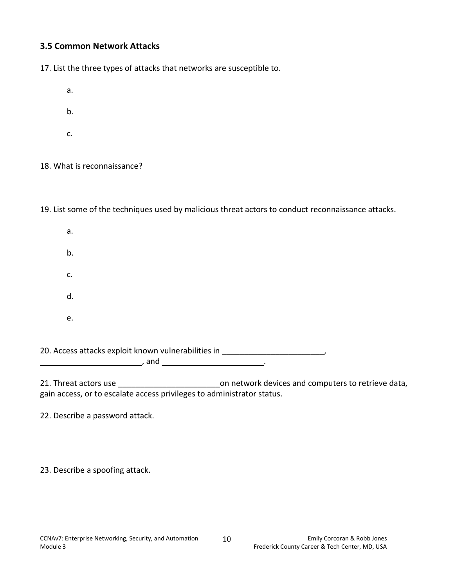#### **3.5 Common Network Attacks**

17. List the three types of attacks that networks are susceptible to.

a. b. c.

#### 18. What is reconnaissance?

19. List some of the techniques used by malicious threat actors to conduct reconnaissance attacks.

20. Access attacks exploit known vulnerabilities in \_\_\_\_\_\_\_\_\_\_\_\_\_\_\_\_\_\_\_\_\_\_\_\_\_\_\_\_ \_\_\_\_\_\_\_\_\_\_\_\_\_\_\_\_\_\_\_\_\_\_\_, and \_\_\_\_\_\_\_\_\_\_\_\_\_\_\_\_\_\_\_\_\_\_\_.

21. Threat actors use \_\_\_\_\_\_\_\_\_\_\_\_\_\_\_\_\_\_\_\_\_\_\_on network devices and computers to retrieve data, gain access, or to escalate access privileges to administrator status.

22. Describe a password attack.

23. Describe a spoofing attack.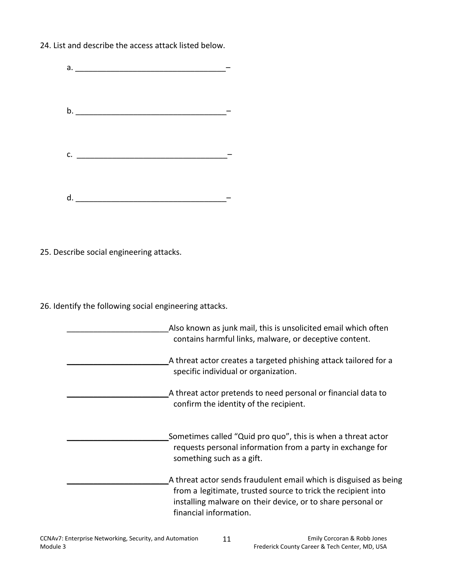24. List and describe the access attack listed below.

|    | a. $\overline{\phantom{a}}$ |  |
|----|-----------------------------|--|
|    |                             |  |
|    |                             |  |
|    |                             |  |
|    | b. $\qquad \qquad$          |  |
|    |                             |  |
|    |                             |  |
|    |                             |  |
|    | c.                          |  |
|    |                             |  |
|    |                             |  |
|    |                             |  |
| d. |                             |  |
|    |                             |  |

25. Describe social engineering attacks.

26. Identify the following social engineering attacks.

| Also known as junk mail, this is unsolicited email which often<br>contains harmful links, malware, or deceptive content.                                                                                                    |
|-----------------------------------------------------------------------------------------------------------------------------------------------------------------------------------------------------------------------------|
| A threat actor creates a targeted phishing attack tailored for a<br>specific individual or organization.                                                                                                                    |
| A threat actor pretends to need personal or financial data to<br>confirm the identity of the recipient.                                                                                                                     |
| Sometimes called "Quid pro quo", this is when a threat actor<br>requests personal information from a party in exchange for<br>something such as a gift.                                                                     |
| A threat actor sends fraudulent email which is disguised as being<br>from a legitimate, trusted source to trick the recipient into<br>installing malware on their device, or to share personal or<br>financial information. |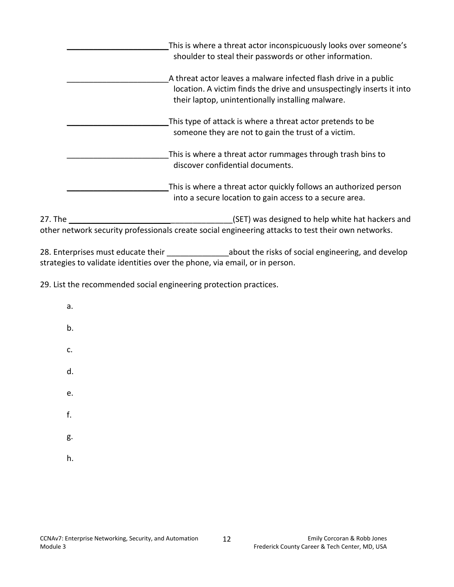|         | This is where a threat actor inconspicuously looks over someone's<br>shoulder to steal their passwords or other information.                                                                   |
|---------|------------------------------------------------------------------------------------------------------------------------------------------------------------------------------------------------|
|         | A threat actor leaves a malware infected flash drive in a public<br>location. A victim finds the drive and unsuspectingly inserts it into<br>their laptop, unintentionally installing malware. |
|         | This type of attack is where a threat actor pretends to be<br>someone they are not to gain the trust of a victim.                                                                              |
|         | This is where a threat actor rummages through trash bins to<br>discover confidential documents.                                                                                                |
|         | This is where a threat actor quickly follows an authorized person<br>into a secure location to gain access to a secure area.                                                                   |
| 27. The | (SET) was designed to help white hat hackers and<br>other network security professionals create social engineering attacks to test their own networks.                                         |

28. Enterprises must educate their \_\_\_\_\_\_\_\_\_\_\_\_\_\_\_\_\_about the risks of social engineering, and develop strategies to validate identities over the phone, via email, or in person.

29. List the recommended social engineering protection practices.

a. b. c. d. e. f. g. h.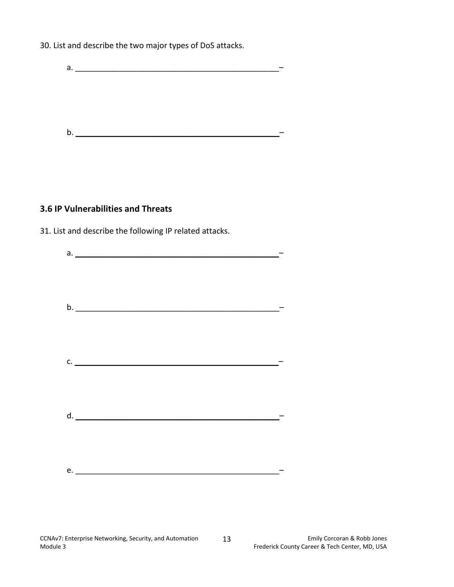30. List and describe the two major types of DoS attacks.

a.  $\frac{1}{2}$  –  $\frac{1}{2}$ b. \_\_\_\_\_\_\_\_\_\_\_\_\_\_\_\_\_\_\_\_\_\_\_\_\_\_\_\_\_\_\_\_\_\_\_\_\_\_\_\_\_\_\_\_\_\_–

## **3.6 IP Vulnerabilities and Threats**

31. List and describe the following IP related attacks.

| $\mathsf b.$ $\blacksquare$ |  |
|-----------------------------|--|
|                             |  |
|                             |  |
|                             |  |
|                             |  |
|                             |  |
| C.                          |  |
|                             |  |
|                             |  |
|                             |  |
|                             |  |
|                             |  |
|                             |  |
|                             |  |
|                             |  |
|                             |  |
|                             |  |
|                             |  |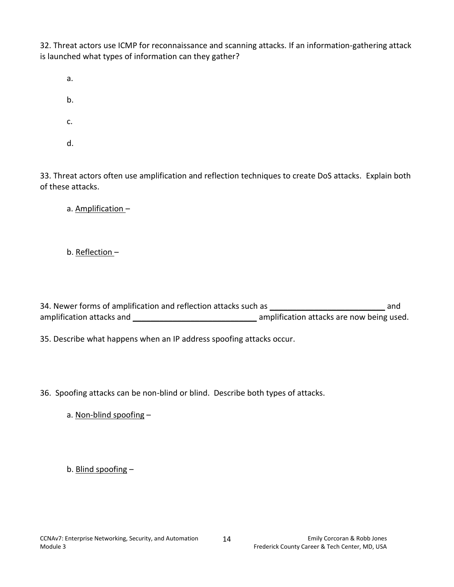32. Threat actors use ICMP for reconnaissance and scanning attacks. If an information-gathering attack is launched what types of information can they gather?

- a. b. c.
- d.

33. Threat actors often use amplification and reflection techniques to create DoS attacks. Explain both of these attacks.

a. Amplification –

b. Reflection –

|                           | 34. Newer forms of amplification and reflection attacks such as |                                           | and |
|---------------------------|-----------------------------------------------------------------|-------------------------------------------|-----|
| amplification attacks and |                                                                 | amplification attacks are now being used. |     |

35. Describe what happens when an IP address spoofing attacks occur.

36. Spoofing attacks can be non-blind or blind. Describe both types of attacks.

a. Non-blind spoofing –

b. Blind spoofing –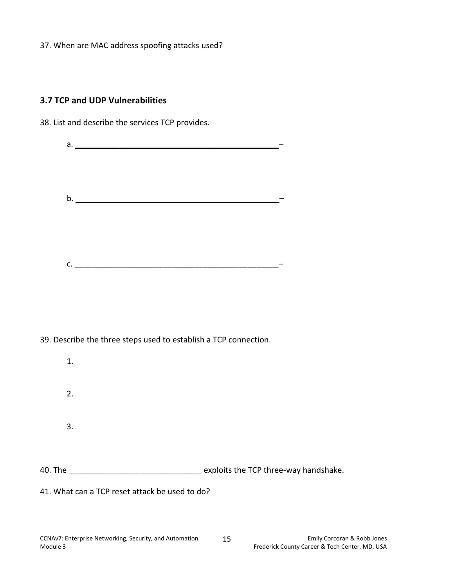37. When are MAC address spoofing attacks used?

#### **3.7 TCP and UDP Vulnerabilities**

38. List and describe the services TCP provides.

| $a.$ $\overline{\phantom{a}}$ |  |
|-------------------------------|--|
|                               |  |
|                               |  |
|                               |  |
|                               |  |
|                               |  |
|                               |  |
| $\mathsf{b}$ .                |  |
|                               |  |
|                               |  |
|                               |  |
|                               |  |
|                               |  |
|                               |  |
|                               |  |
| C.                            |  |
|                               |  |
|                               |  |
|                               |  |

39. Describe the three steps used to establish a TCP connection.

| 40. The<br>41. What can a TCP reset attack be used to do? | exploits the TCP three-way handshake. |
|-----------------------------------------------------------|---------------------------------------|
| 3.                                                        |                                       |
| 2.                                                        |                                       |
|                                                           |                                       |
| 1.                                                        |                                       |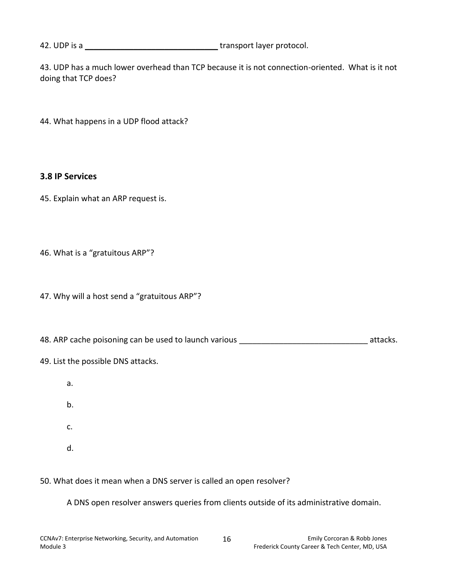42. UDP is a  $\qquad \qquad$  transport layer protocol.

43. UDP has a much lower overhead than TCP because it is not connection-oriented. What is it not doing that TCP does?

44. What happens in a UDP flood attack?

#### **3.8 IP Services**

45. Explain what an ARP request is.

46. What is a "gratuitous ARP"?

47. Why will a host send a "gratuitous ARP"?

48. ARP cache poisoning can be used to launch various \_\_\_\_\_\_\_\_\_\_\_\_\_\_\_\_\_\_\_\_\_\_\_\_\_\_\_\_\_ attacks.

49. List the possible DNS attacks.

- a.
- b.
- 
- c.
- d.

50. What does it mean when a DNS server is called an open resolver?

A DNS open resolver answers queries from clients outside of its administrative domain.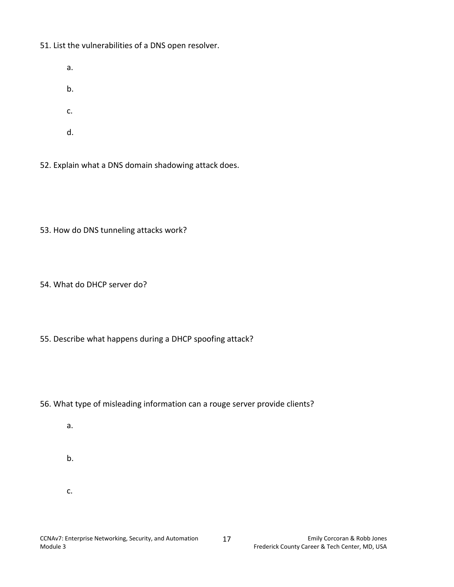51. List the vulnerabilities of a DNS open resolver.

a. b. c. d.

52. Explain what a DNS domain shadowing attack does.

53. How do DNS tunneling attacks work?

54. What do DHCP server do?

- 55. Describe what happens during a DHCP spoofing attack?
- 56. What type of misleading information can a rouge server provide clients?

a.

b.

c.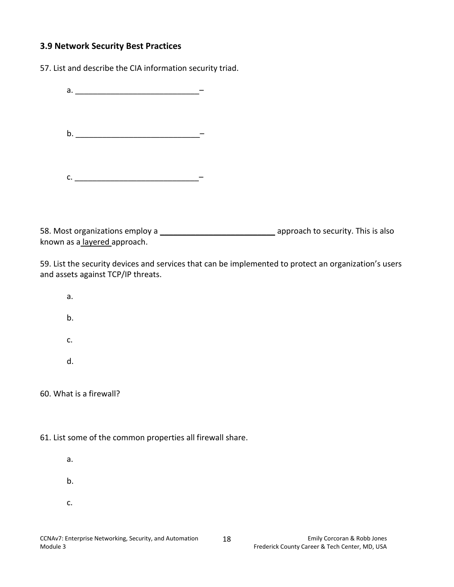#### **3.9 Network Security Best Practices**

57. List and describe the CIA information security triad.

a.  $\frac{1}{2}$ b. \_\_\_\_\_\_\_\_\_\_\_\_\_\_\_\_\_\_\_\_\_\_\_\_\_\_\_\_–  $c.$   $-$ 

58. Most organizations employ a \_\_\_\_\_\_\_\_\_\_\_\_\_\_\_\_\_\_\_\_\_\_\_\_\_\_ approach to security. This is also known as a layered approach.

59. List the security devices and services that can be implemented to protect an organization's users and assets against TCP/IP threats.

a. b. c. d.

60. What is a firewall?

#### 61. List some of the common properties all firewall share.

a.

- b.
- c.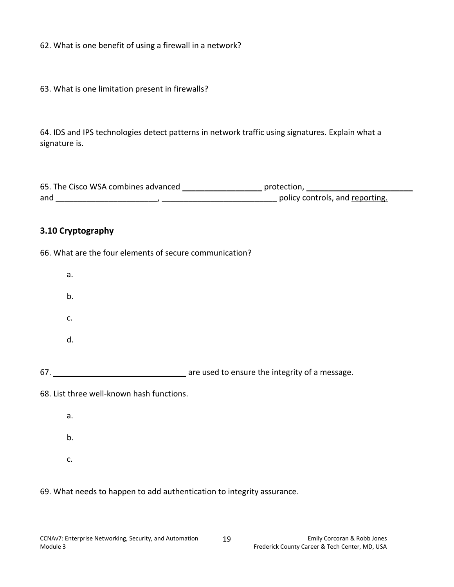62. What is one benefit of using a firewall in a network?

63. What is one limitation present in firewalls?

64. IDS and IPS technologies detect patterns in network traffic using signatures. Explain what a signature is.

| 65. The Cisco WSA combines advanced | protection,                     |
|-------------------------------------|---------------------------------|
| and                                 | policy controls, and reporting. |

#### **3.10 Cryptography**

66. What are the four elements of secure communication?

| b. |  |
|----|--|
|    |  |
| c. |  |
| d. |  |

67. \_\_\_\_\_\_\_\_\_\_\_\_\_\_\_\_\_\_\_\_\_\_\_\_\_\_\_\_\_\_ are used to ensure the integrity of a message.

68. List three well-known hash functions.

| a. |  |  |  |
|----|--|--|--|
| b. |  |  |  |
| c. |  |  |  |

69. What needs to happen to add authentication to integrity assurance.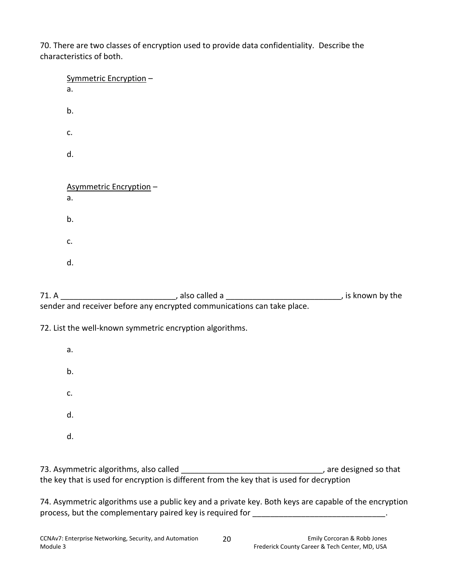70. There are two classes of encryption used to provide data confidentiality. Describe the characteristics of both.

| Symmetric Encryption -                                                  |  |  |
|-------------------------------------------------------------------------|--|--|
| a.                                                                      |  |  |
| b.                                                                      |  |  |
| c.                                                                      |  |  |
| d.                                                                      |  |  |
|                                                                         |  |  |
| Asymmetric Encryption -                                                 |  |  |
| a.                                                                      |  |  |
| b.                                                                      |  |  |
| c.                                                                      |  |  |
| d.                                                                      |  |  |
|                                                                         |  |  |
| sender and receiver before any encrypted communications can take place. |  |  |
| 72. List the well-known symmetric encryption algorithms.                |  |  |

73. Asymmetric algorithms, also called \_\_\_\_\_\_\_\_\_\_\_\_\_\_\_\_\_\_\_\_\_\_\_\_\_\_\_\_\_\_\_\_, are designed so that the key that is used for encryption is different from the key that is used for decryption

74. Asymmetric algorithms use a public key and a private key. Both keys are capable of the encryption process, but the complementary paired key is required for \_\_\_\_\_\_\_\_\_\_\_\_\_\_\_\_\_\_\_\_\_\_\_\_\_\_\_\_\_\_.

a.

b.

c.

d.

d.